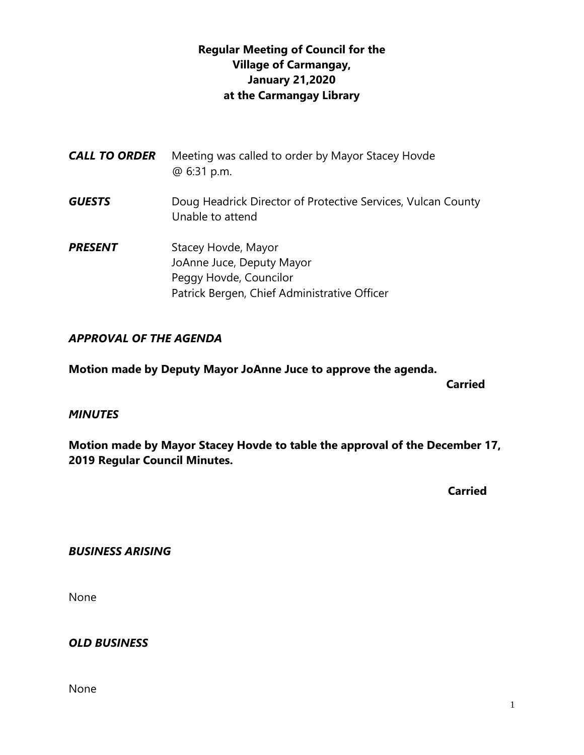# **Regular Meeting of Council for the Village of Carmangay, January 21,2020 at the Carmangay Library**

| <b>CALL TO ORDER</b> | Meeting was called to order by Mayor Stacey Hovde<br>@ 6:31 p.m.                                                           |
|----------------------|----------------------------------------------------------------------------------------------------------------------------|
| <b>GUESTS</b>        | Doug Headrick Director of Protective Services, Vulcan County<br>Unable to attend                                           |
| <b>PRESENT</b>       | Stacey Hovde, Mayor<br>JoAnne Juce, Deputy Mayor<br>Peggy Hovde, Councilor<br>Patrick Bergen, Chief Administrative Officer |

### *APPROVAL OF THE AGENDA*

**Motion made by Deputy Mayor JoAnne Juce to approve the agenda.**

**Carried** 

#### *MINUTES*

**Motion made by Mayor Stacey Hovde to table the approval of the December 17, 2019 Regular Council Minutes.**

 **Carried**

### *BUSINESS ARISING*

None

#### *OLD BUSINESS*

None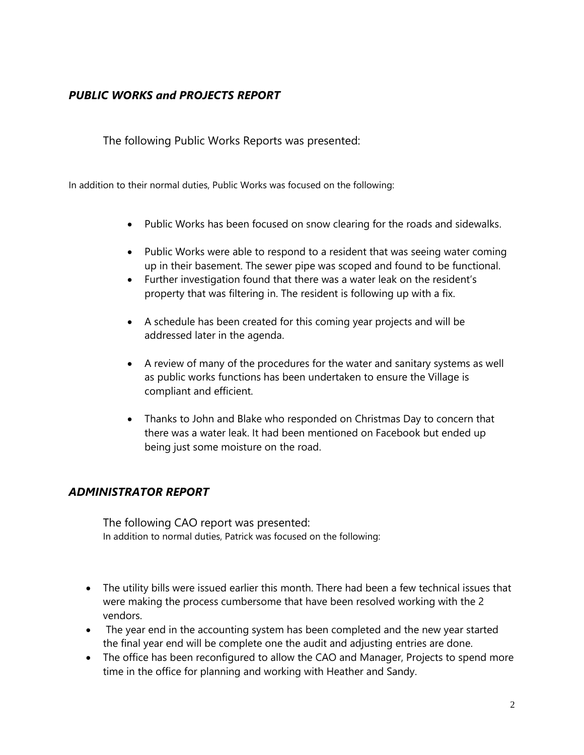### *PUBLIC WORKS and PROJECTS REPORT*

The following Public Works Reports was presented:

In addition to their normal duties, Public Works was focused on the following:

- Public Works has been focused on snow clearing for the roads and sidewalks.
- Public Works were able to respond to a resident that was seeing water coming up in their basement. The sewer pipe was scoped and found to be functional.
- Further investigation found that there was a water leak on the resident's property that was filtering in. The resident is following up with a fix.
- A schedule has been created for this coming year projects and will be addressed later in the agenda.
- A review of many of the procedures for the water and sanitary systems as well as public works functions has been undertaken to ensure the Village is compliant and efficient.
- Thanks to John and Blake who responded on Christmas Day to concern that there was a water leak. It had been mentioned on Facebook but ended up being just some moisture on the road.

### *ADMINISTRATOR REPORT*

The following CAO report was presented: In addition to normal duties, Patrick was focused on the following:

- The utility bills were issued earlier this month. There had been a few technical issues that were making the process cumbersome that have been resolved working with the 2 vendors.
- The year end in the accounting system has been completed and the new year started the final year end will be complete one the audit and adjusting entries are done.
- The office has been reconfigured to allow the CAO and Manager, Projects to spend more time in the office for planning and working with Heather and Sandy.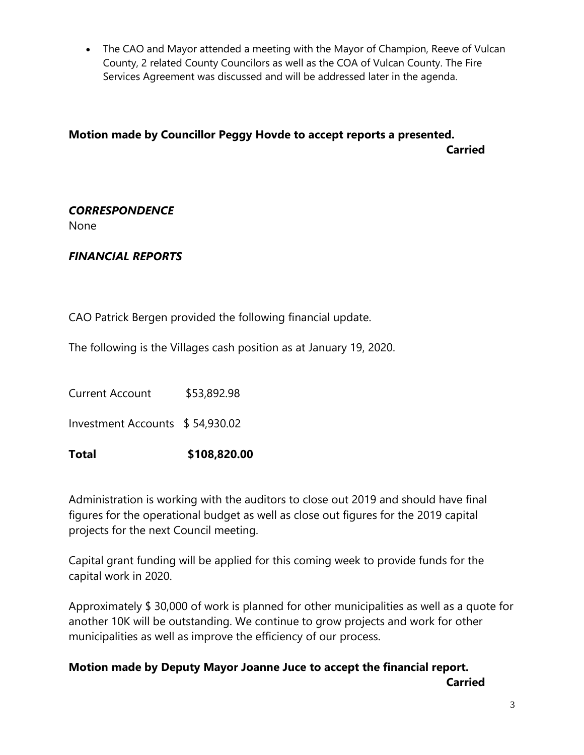• The CAO and Mayor attended a meeting with the Mayor of Champion, Reeve of Vulcan County, 2 related County Councilors as well as the COA of Vulcan County. The Fire Services Agreement was discussed and will be addressed later in the agenda.

## **Motion made by Councillor Peggy Hovde to accept reports a presented. Carried**

#### *CORRESPONDENCE* None

# *FINANCIAL REPORTS*

CAO Patrick Bergen provided the following financial update.

The following is the Villages cash position as at January 19, 2020.

Current Account \$53,892.98

Investment Accounts \$ 54,930.02

**Total \$108,820.00**

Administration is working with the auditors to close out 2019 and should have final figures for the operational budget as well as close out figures for the 2019 capital projects for the next Council meeting.

Capital grant funding will be applied for this coming week to provide funds for the capital work in 2020.

Approximately \$ 30,000 of work is planned for other municipalities as well as a quote for another 10K will be outstanding. We continue to grow projects and work for other municipalities as well as improve the efficiency of our process.

# **Motion made by Deputy Mayor Joanne Juce to accept the financial report. Carried**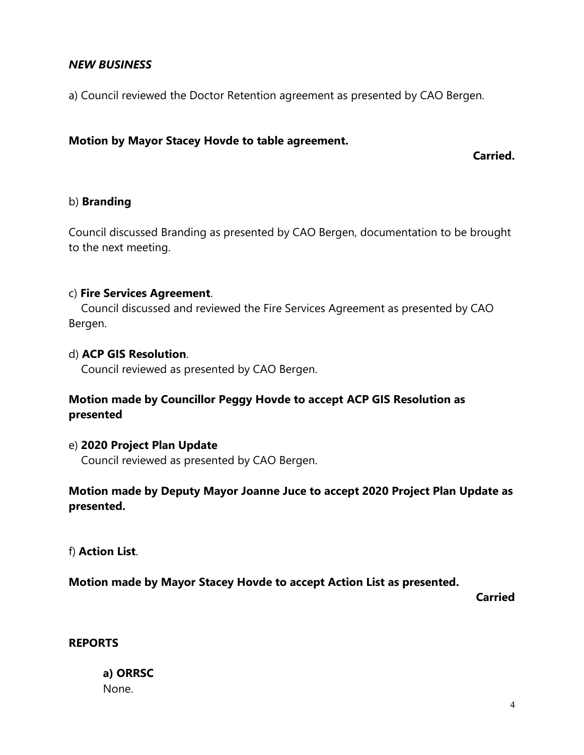### *NEW BUSINESS*

a) Council reviewed the Doctor Retention agreement as presented by CAO Bergen.

#### **Motion by Mayor Stacey Hovde to table agreement.**

**Carried.**

#### b) **Branding**

Council discussed Branding as presented by CAO Bergen, documentation to be brought to the next meeting.

#### c) **Fire Services Agreement**.

 Council discussed and reviewed the Fire Services Agreement as presented by CAO Bergen.

#### d) **ACP GIS Resolution**.

Council reviewed as presented by CAO Bergen.

### **Motion made by Councillor Peggy Hovde to accept ACP GIS Resolution as presented**

#### e) **2020 Project Plan Update**

Council reviewed as presented by CAO Bergen.

### **Motion made by Deputy Mayor Joanne Juce to accept 2020 Project Plan Update as presented.**

f) **Action List**.

**Motion made by Mayor Stacey Hovde to accept Action List as presented.**

**Carried**

#### **REPORTS**

### **a) ORRSC**  None.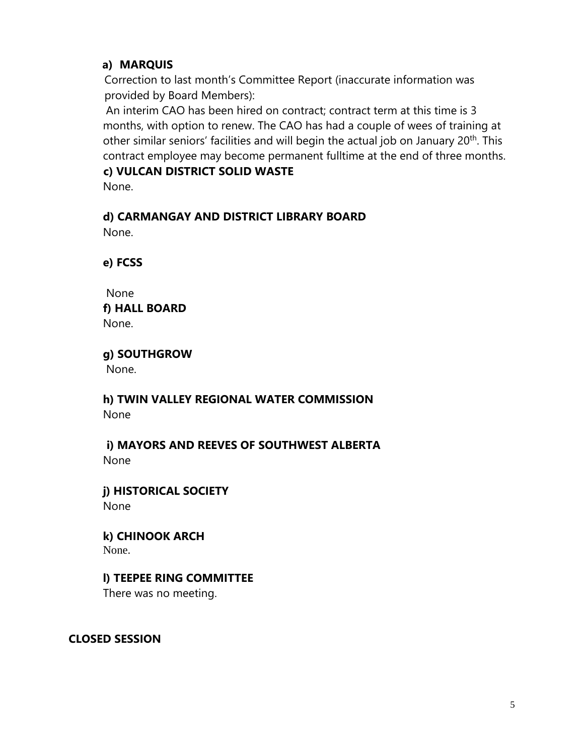## **a) MARQUIS**

 Correction to last month's Committee Report (inaccurate information was provided by Board Members):

An interim CAO has been hired on contract; contract term at this time is 3 months, with option to renew. The CAO has had a couple of wees of training at other similar seniors' facilities and will begin the actual job on January 20<sup>th</sup>. This contract employee may become permanent fulltime at the end of three months.  **c) VULCAN DISTRICT SOLID WASTE** 

None.

# **d) CARMANGAY AND DISTRICT LIBRARY BOARD**

None.

**e) FCSS** 

 None **f) HALL BOARD** None.

**g) SOUTHGROW**

None.

**h) TWIN VALLEY REGIONAL WATER COMMISSION** None

 **i) MAYORS AND REEVES OF SOUTHWEST ALBERTA** None

**j) HISTORICAL SOCIETY** None

**k) CHINOOK ARCH** None.

# **l) TEEPEE RING COMMITTEE**

There was no meeting.

**CLOSED SESSION**